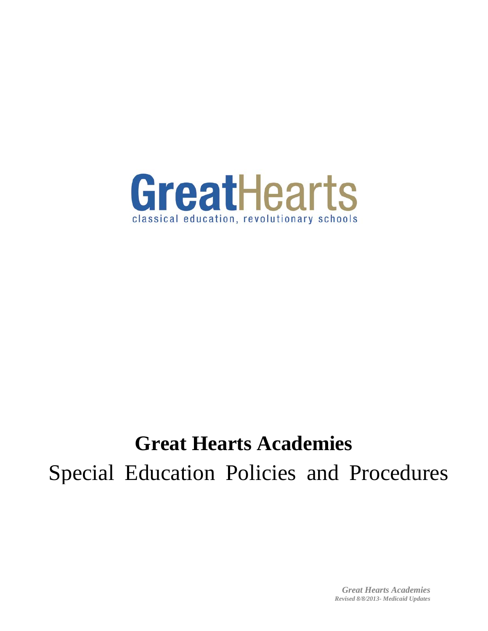

# **Great Hearts Academies**

Special Education Policies and Procedures

*Great Hearts Academies Revised 8/8/2013- Medicaid Updates*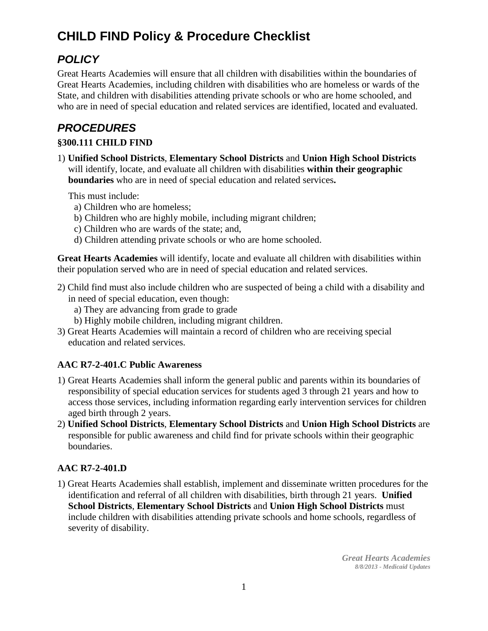## **CHILD FIND Policy & Procedure Checklist**

### *POLICY*

Great Hearts Academies will ensure that all children with disabilities within the boundaries of Great Hearts Academies, including children with disabilities who are homeless or wards of the State, and children with disabilities attending private schools or who are home schooled, and who are in need of special education and related services are identified, located and evaluated.

### *PROCEDURES*

#### **§300.111 CHILD FIND**

1) **Unified School Districts**, **Elementary School Districts** and **Union High School Districts** will identify, locate, and evaluate all children with disabilities **within their geographic boundaries** who are in need of special education and related services**.**

This must include:

- a) Children who are homeless;
- b) Children who are highly mobile, including migrant children;
- c) Children who are wards of the state; and,
- d) Children attending private schools or who are home schooled.

**Great Hearts Academies** will identify, locate and evaluate all children with disabilities within their population served who are in need of special education and related services.

- 2) Child find must also include children who are suspected of being a child with a disability and in need of special education, even though:
	- a) They are advancing from grade to grade
	- b) Highly mobile children, including migrant children.
- 3) Great Hearts Academies will maintain a record of children who are receiving special education and related services.

#### **AAC R7-2-401.C Public Awareness**

- 1) Great Hearts Academies shall inform the general public and parents within its boundaries of responsibility of special education services for students aged 3 through 21 years and how to access those services, including information regarding early intervention services for children aged birth through 2 years.
- 2) **Unified School Districts**, **Elementary School Districts** and **Union High School Districts** are responsible for public awareness and child find for private schools within their geographic boundaries.

#### **AAC R7-2-401.D**

1) Great Hearts Academies shall establish, implement and disseminate written procedures for the identification and referral of all children with disabilities, birth through 21 years. **Unified School Districts**, **Elementary School Districts** and **Union High School Districts** must include children with disabilities attending private schools and home schools, regardless of severity of disability.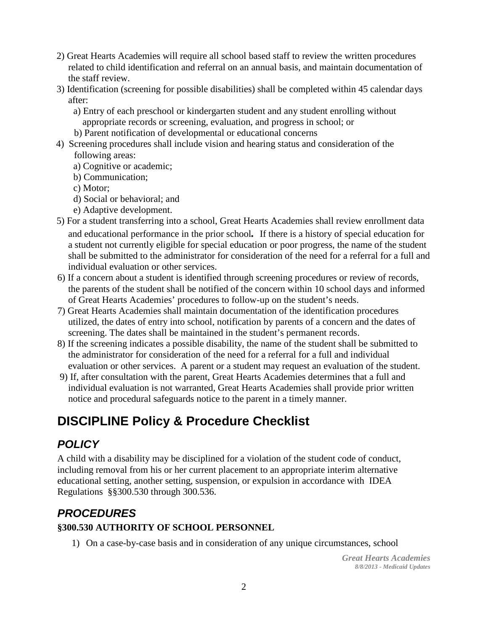- 2) Great Hearts Academies will require all school based staff to review the written procedures related to child identification and referral on an annual basis, and maintain documentation of the staff review.
- 3) Identification (screening for possible disabilities) shall be completed within 45 calendar days after:
	- a) Entry of each preschool or kindergarten student and any student enrolling without appropriate records or screening, evaluation, and progress in school; or
	- b) Parent notification of developmental or educational concerns
- 4) Screening procedures shall include vision and hearing status and consideration of the following areas:
	- a) Cognitive or academic;
	- b) Communication;
	- c) Motor;
	- d) Social or behavioral; and
	- e) Adaptive development.
- 5) For a student transferring into a school, Great Hearts Academies shall review enrollment data and educational performance in the prior school*.* If there is a history of special education for a student not currently eligible for special education or poor progress, the name of the student shall be submitted to the administrator for consideration of the need for a referral for a full and individual evaluation or other services.
- 6) If a concern about a student is identified through screening procedures or review of records, the parents of the student shall be notified of the concern within 10 school days and informed of Great Hearts Academies' procedures to follow-up on the student's needs.
- 7) Great Hearts Academies shall maintain documentation of the identification procedures utilized, the dates of entry into school, notification by parents of a concern and the dates of screening. The dates shall be maintained in the student's permanent records.
- 8) If the screening indicates a possible disability, the name of the student shall be submitted to the administrator for consideration of the need for a referral for a full and individual evaluation or other services. A parent or a student may request an evaluation of the student.
- 9) If, after consultation with the parent, Great Hearts Academies determines that a full and individual evaluation is not warranted, Great Hearts Academies shall provide prior written notice and procedural safeguards notice to the parent in a timely manner.

## **DISCIPLINE Policy & Procedure Checklist**

### *POLICY*

A child with a disability may be disciplined for a violation of the student code of conduct, including removal from his or her current placement to an appropriate interim alternative educational setting, another setting, suspension, or expulsion in accordance with IDEA Regulations §§300.530 through 300.536.

### *PROCEDURES*

#### **§300.530 AUTHORITY OF SCHOOL PERSONNEL**

1) On a case-by-case basis and in consideration of any unique circumstances, school

*Great Hearts Academies 8/8/2013 - Medicaid Updates*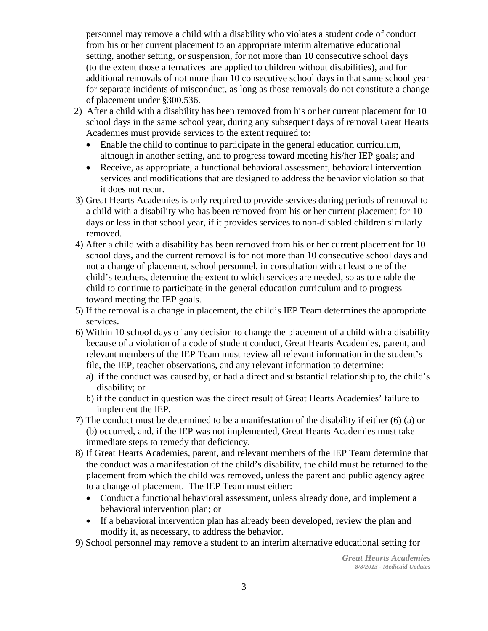personnel may remove a child with a disability who violates a student code of conduct from his or her current placement to an appropriate interim alternative educational setting, another setting, or suspension, for not more than 10 consecutive school days (to the extent those alternatives are applied to children without disabilities), and for additional removals of not more than 10 consecutive school days in that same school year for separate incidents of misconduct, as long as those removals do not constitute a change of placement under §300.536.

- 2) After a child with a disability has been removed from his or her current placement for 10 school days in the same school year, during any subsequent days of removal Great Hearts Academies must provide services to the extent required to:
	- Enable the child to continue to participate in the general education curriculum, although in another setting, and to progress toward meeting his/her IEP goals; and
	- Receive, as appropriate, a functional behavioral assessment, behavioral intervention services and modifications that are designed to address the behavior violation so that it does not recur.
- 3) Great Hearts Academies is only required to provide services during periods of removal to a child with a disability who has been removed from his or her current placement for 10 days or less in that school year, if it provides services to non-disabled children similarly removed.
- 4) After a child with a disability has been removed from his or her current placement for 10 school days, and the current removal is for not more than 10 consecutive school days and not a change of placement, school personnel, in consultation with at least one of the child's teachers, determine the extent to which services are needed, so as to enable the child to continue to participate in the general education curriculum and to progress toward meeting the IEP goals.
- 5) If the removal is a change in placement, the child's IEP Team determines the appropriate services.
- 6) Within 10 school days of any decision to change the placement of a child with a disability because of a violation of a code of student conduct, Great Hearts Academies, parent, and relevant members of the IEP Team must review all relevant information in the student's file, the IEP, teacher observations, and any relevant information to determine:
	- a) if the conduct was caused by, or had a direct and substantial relationship to, the child's disability; or
	- b) if the conduct in question was the direct result of Great Hearts Academies' failure to implement the IEP.
- 7) The conduct must be determined to be a manifestation of the disability if either (6) (a) or (b) occurred, and, if the IEP was not implemented, Great Hearts Academies must take immediate steps to remedy that deficiency.
- 8) If Great Hearts Academies, parent, and relevant members of the IEP Team determine that the conduct was a manifestation of the child's disability, the child must be returned to the placement from which the child was removed, unless the parent and public agency agree to a change of placement. The IEP Team must either:
	- Conduct a functional behavioral assessment, unless already done, and implement a behavioral intervention plan; or
	- If a behavioral intervention plan has already been developed, review the plan and modify it, as necessary, to address the behavior.

9) School personnel may remove a student to an interim alternative educational setting for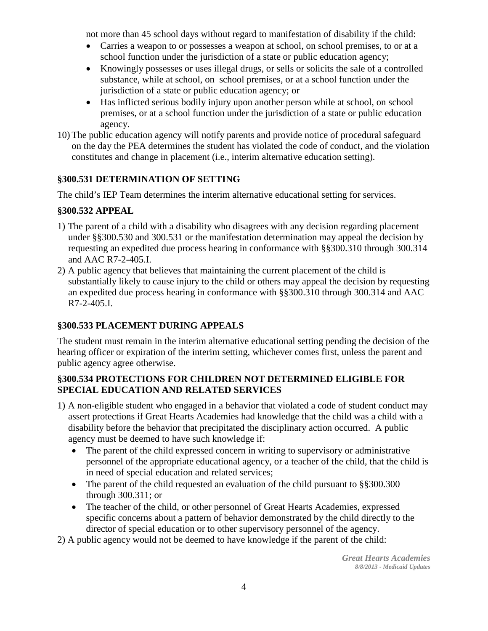not more than 45 school days without regard to manifestation of disability if the child:

- Carries a weapon to or possesses a weapon at school, on school premises, to or at a school function under the jurisdiction of a state or public education agency;
- Knowingly possesses or uses illegal drugs, or sells or solicits the sale of a controlled substance, while at school, on school premises, or at a school function under the jurisdiction of a state or public education agency; or
- Has inflicted serious bodily injury upon another person while at school, on school premises, or at a school function under the jurisdiction of a state or public education agency.
- 10) The public education agency will notify parents and provide notice of procedural safeguard on the day the PEA determines the student has violated the code of conduct, and the violation constitutes and change in placement (i.e., interim alternative education setting).

#### **§300.531 DETERMINATION OF SETTING**

The child's IEP Team determines the interim alternative educational setting for services.

#### **§300.532 APPEAL**

- 1) The parent of a child with a disability who disagrees with any decision regarding placement under §§300.530 and 300.531 or the manifestation determination may appeal the decision by requesting an expedited due process hearing in conformance with §§300.310 through 300.314 and AAC R7-2-405.I.
- 2) A public agency that believes that maintaining the current placement of the child is substantially likely to cause injury to the child or others may appeal the decision by requesting an expedited due process hearing in conformance with §§300.310 through 300.314 and AAC R7-2-405.I.

#### **§300.533 PLACEMENT DURING APPEALS**

The student must remain in the interim alternative educational setting pending the decision of the hearing officer or expiration of the interim setting, whichever comes first, unless the parent and public agency agree otherwise.

#### **§300.534 PROTECTIONS FOR CHILDREN NOT DETERMINED ELIGIBLE FOR SPECIAL EDUCATION AND RELATED SERVICES**

- 1) A non-eligible student who engaged in a behavior that violated a code of student conduct may assert protections if Great Hearts Academies had knowledge that the child was a child with a disability before the behavior that precipitated the disciplinary action occurred. A public agency must be deemed to have such knowledge if:
	- The parent of the child expressed concern in writing to supervisory or administrative personnel of the appropriate educational agency, or a teacher of the child, that the child is in need of special education and related services;
	- The parent of the child requested an evaluation of the child pursuant to §§300.300 through 300.311; or
	- The teacher of the child, or other personnel of Great Hearts Academies, expressed specific concerns about a pattern of behavior demonstrated by the child directly to the director of special education or to other supervisory personnel of the agency.
- 2) A public agency would not be deemed to have knowledge if the parent of the child: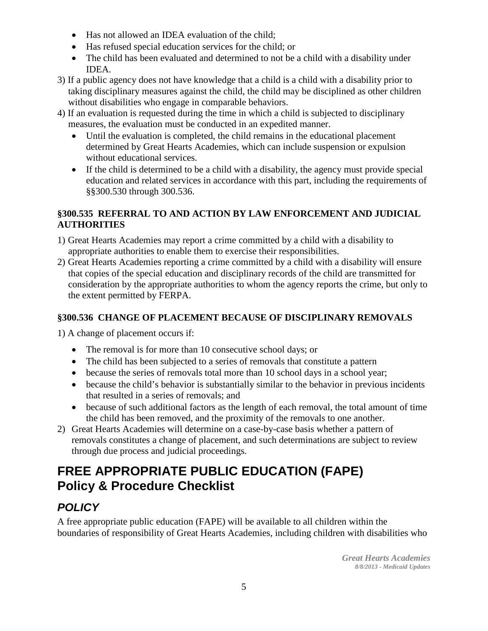- Has not allowed an IDEA evaluation of the child;
- Has refused special education services for the child; or
- The child has been evaluated and determined to not be a child with a disability under IDEA.
- 3) If a public agency does not have knowledge that a child is a child with a disability prior to taking disciplinary measures against the child, the child may be disciplined as other children without disabilities who engage in comparable behaviors.
- 4) If an evaluation is requested during the time in which a child is subjected to disciplinary measures, the evaluation must be conducted in an expedited manner.
	- Until the evaluation is completed, the child remains in the educational placement determined by Great Hearts Academies, which can include suspension or expulsion without educational services.
	- If the child is determined to be a child with a disability, the agency must provide special education and related services in accordance with this part, including the requirements of §§300.530 through 300.536.

#### **§300.535 REFERRAL TO AND ACTION BY LAW ENFORCEMENT AND JUDICIAL AUTHORITIES**

- 1) Great Hearts Academies may report a crime committed by a child with a disability to appropriate authorities to enable them to exercise their responsibilities.
- 2) Great Hearts Academies reporting a crime committed by a child with a disability will ensure that copies of the special education and disciplinary records of the child are transmitted for consideration by the appropriate authorities to whom the agency reports the crime, but only to the extent permitted by FERPA.

#### **§300.536 CHANGE OF PLACEMENT BECAUSE OF DISCIPLINARY REMOVALS**

1) A change of placement occurs if:

- The removal is for more than 10 consecutive school days; or
- The child has been subjected to a series of removals that constitute a pattern
- because the series of removals total more than 10 school days in a school year;
- because the child's behavior is substantially similar to the behavior in previous incidents that resulted in a series of removals; and
- because of such additional factors as the length of each removal, the total amount of time the child has been removed, and the proximity of the removals to one another.
- 2) Great Hearts Academies will determine on a case-by-case basis whether a pattern of removals constitutes a change of placement, and such determinations are subject to review through due process and judicial proceedings.

## **FREE APPROPRIATE PUBLIC EDUCATION (FAPE) Policy & Procedure Checklist**

### *POLICY*

A free appropriate public education (FAPE) will be available to all children within the boundaries of responsibility of Great Hearts Academies, including children with disabilities who

> *Great Hearts Academies 8/8/2013 - Medicaid Updates*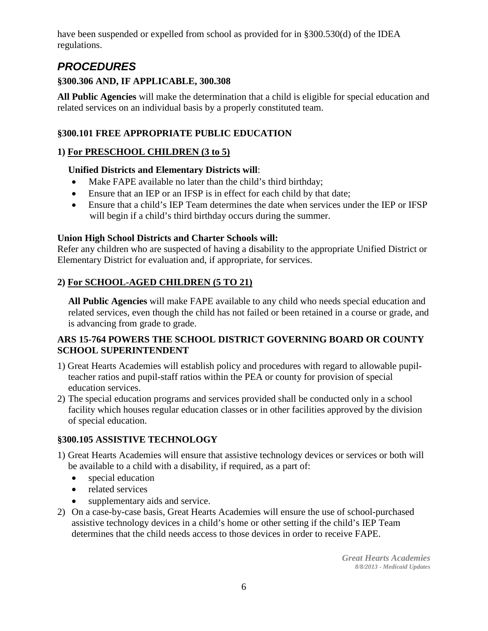have been suspended or expelled from school as provided for in §300.530(d) of the IDEA regulations.

### *PROCEDURES*

#### **§300.306 AND, IF APPLICABLE, 300.308**

**All Public Agencies** will make the determination that a child is eligible for special education and related services on an individual basis by a properly constituted team.

#### **§300.101 FREE APPROPRIATE PUBLIC EDUCATION**

#### **1) For PRESCHOOL CHILDREN (3 to 5)**

#### **Unified Districts and Elementary Districts will**:

- Make FAPE available no later than the child's third birthday;
- Ensure that an IEP or an IFSP is in effect for each child by that date;
- Ensure that a child's IEP Team determines the date when services under the IEP or IFSP will begin if a child's third birthday occurs during the summer.

#### **Union High School Districts and Charter Schools will:**

Refer any children who are suspected of having a disability to the appropriate Unified District or Elementary District for evaluation and, if appropriate, for services.

#### **2) For SCHOOL-AGED CHILDREN (5 TO 21)**

**All Public Agencies** will make FAPE available to any child who needs special education and related services, even though the child has not failed or been retained in a course or grade, and is advancing from grade to grade.

#### **ARS 15-764 POWERS THE SCHOOL DISTRICT GOVERNING BOARD OR COUNTY SCHOOL SUPERINTENDENT**

- 1) Great Hearts Academies will establish policy and procedures with regard to allowable pupilteacher ratios and pupil-staff ratios within the PEA or county for provision of special education services.
- 2) The special education programs and services provided shall be conducted only in a school facility which houses regular education classes or in other facilities approved by the division of special education.

#### **§300.105 ASSISTIVE TECHNOLOGY**

- 1) Great Hearts Academies will ensure that assistive technology devices or services or both will be available to a child with a disability, if required, as a part of:
	- special education
	- related services
	- supplementary aids and service.
- 2) On a case-by-case basis, Great Hearts Academies will ensure the use of school-purchased assistive technology devices in a child's home or other setting if the child's IEP Team determines that the child needs access to those devices in order to receive FAPE.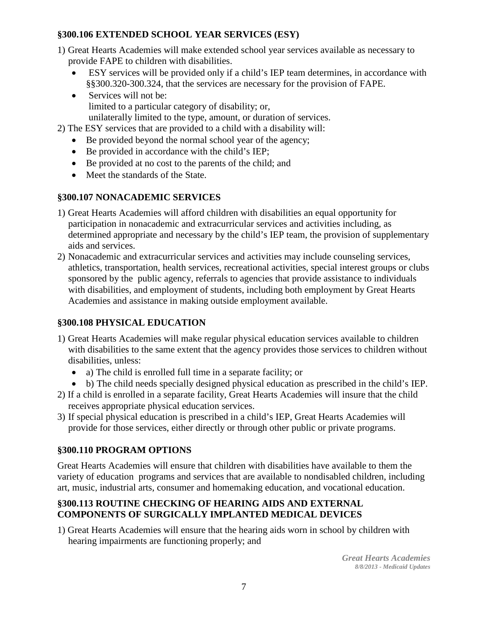#### **§300.106 EXTENDED SCHOOL YEAR SERVICES (ESY)**

- 1) Great Hearts Academies will make extended school year services available as necessary to provide FAPE to children with disabilities.
	- ESY services will be provided only if a child's IEP team determines, in accordance with §§300.320-300.324, that the services are necessary for the provision of FAPE.
	- Services will not be: limited to a particular category of disability; or, unilaterally limited to the type, amount, or duration of services.

2) The ESY services that are provided to a child with a disability will:

- Be provided beyond the normal school year of the agency;
- Be provided in accordance with the child's IEP;
- Be provided at no cost to the parents of the child; and
- Meet the standards of the State.

#### **§300.107 NONACADEMIC SERVICES**

- 1) Great Hearts Academies will afford children with disabilities an equal opportunity for participation in nonacademic and extracurricular services and activities including, as determined appropriate and necessary by the child's IEP team, the provision of supplementary aids and services.
- 2) Nonacademic and extracurricular services and activities may include counseling services, athletics, transportation, health services, recreational activities, special interest groups or clubs sponsored by the public agency, referrals to agencies that provide assistance to individuals with disabilities, and employment of students, including both employment by Great Hearts Academies and assistance in making outside employment available.

#### **§300.108 PHYSICAL EDUCATION**

- 1) Great Hearts Academies will make regular physical education services available to children with disabilities to the same extent that the agency provides those services to children without disabilities, unless:
	- a) The child is enrolled full time in a separate facility; or
	- b) The child needs specially designed physical education as prescribed in the child's IEP.
- 2) If a child is enrolled in a separate facility, Great Hearts Academies will insure that the child receives appropriate physical education services.
- 3) If special physical education is prescribed in a child's IEP, Great Hearts Academies will provide for those services, either directly or through other public or private programs.

#### **§300.110 PROGRAM OPTIONS**

Great Hearts Academies will ensure that children with disabilities have available to them the variety of education programs and services that are available to nondisabled children, including art, music, industrial arts, consumer and homemaking education, and vocational education.

#### **§300.113 ROUTINE CHECKING OF HEARING AIDS AND EXTERNAL COMPONENTS OF SURGICALLY IMPLANTED MEDICAL DEVICES**

1) Great Hearts Academies will ensure that the hearing aids worn in school by children with hearing impairments are functioning properly; and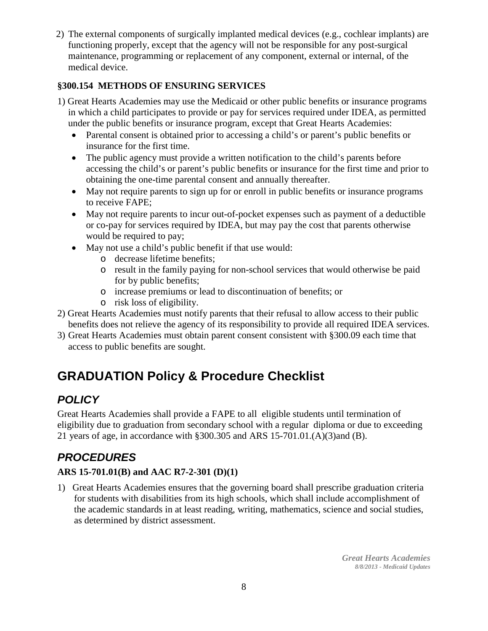2) The external components of surgically implanted medical devices (e.g., cochlear implants) are functioning properly, except that the agency will not be responsible for any post-surgical maintenance, programming or replacement of any component, external or internal, of the medical device.

#### **§300.154 METHODS OF ENSURING SERVICES**

- 1) Great Hearts Academies may use the Medicaid or other public benefits or insurance programs in which a child participates to provide or pay for services required under IDEA, as permitted under the public benefits or insurance program, except that Great Hearts Academies:
	- Parental consent is obtained prior to accessing a child's or parent's public benefits or insurance for the first time.
	- The public agency must provide a written notification to the child's parents before accessing the child's or parent's public benefits or insurance for the first time and prior to obtaining the one-time parental consent and annually thereafter.
	- May not require parents to sign up for or enroll in public benefits or insurance programs to receive FAPE;
	- May not require parents to incur out-of-pocket expenses such as payment of a deductible or co-pay for services required by IDEA, but may pay the cost that parents otherwise would be required to pay;
	- May not use a child's public benefit if that use would:
		- o decrease lifetime benefits;
		- o result in the family paying for non-school services that would otherwise be paid for by public benefits;
		- o increase premiums or lead to discontinuation of benefits; or
		- o risk loss of eligibility.
- 2) Great Hearts Academies must notify parents that their refusal to allow access to their public benefits does not relieve the agency of its responsibility to provide all required IDEA services.
- 3) Great Hearts Academies must obtain parent consent consistent with §300.09 each time that access to public benefits are sought.

## **GRADUATION Policy & Procedure Checklist**

### *POLICY*

Great Hearts Academies shall provide a FAPE to all eligible students until termination of eligibility due to graduation from secondary school with a regular diploma or due to exceeding 21 years of age, in accordance with §300.305 and ARS 15-701.01.(A)(3)and (B).

### *PROCEDURES*

#### **ARS 15-701.01(B) and AAC R7-2-301 (D)(1)**

1)Great Hearts Academies ensures that the governing board shall prescribe graduation criteria for students with disabilities from its high schools, which shall include accomplishment of the academic standards in at least reading, writing, mathematics, science and social studies, as determined by district assessment.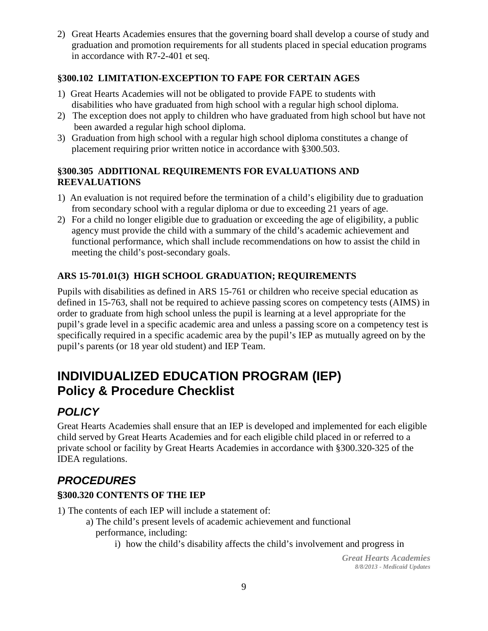2) Great Hearts Academies ensures that the governing board shall develop a course of study and graduation and promotion requirements for all students placed in special education programs in accordance with R7-2-401 et seq.

#### **§300.102 LIMITATION-EXCEPTION TO FAPE FOR CERTAIN AGES**

- 1) Great Hearts Academies will not be obligated to provide FAPE to students with disabilities who have graduated from high school with a regular high school diploma.
- 2) The exception does not apply to children who have graduated from high school but have not been awarded a regular high school diploma.
- 3) Graduation from high school with a regular high school diploma constitutes a change of placement requiring prior written notice in accordance with §300.503.

#### **§300.305 ADDITIONAL REQUIREMENTS FOR EVALUATIONS AND REEVALUATIONS**

- 1) An evaluation is not required before the termination of a child's eligibility due to graduation from secondary school with a regular diploma or due to exceeding 21 years of age.
- 2) For a child no longer eligible due to graduation or exceeding the age of eligibility, a public agency must provide the child with a summary of the child's academic achievement and functional performance, which shall include recommendations on how to assist the child in meeting the child's post-secondary goals.

#### **ARS 15-701.01(3) HIGH SCHOOL GRADUATION; REQUIREMENTS**

Pupils with disabilities as defined in ARS 15-761 or children who receive special education as defined in 15-763, shall not be required to achieve passing scores on competency tests (AIMS) in order to graduate from high school unless the pupil is learning at a level appropriate for the pupil's grade level in a specific academic area and unless a passing score on a competency test is specifically required in a specific academic area by the pupil's IEP as mutually agreed on by the pupil's parents (or 18 year old student) and IEP Team.

### **INDIVIDUALIZED EDUCATION PROGRAM (IEP) Policy & Procedure Checklist**

### *POLICY*

Great Hearts Academies shall ensure that an IEP is developed and implemented for each eligible child served by Great Hearts Academies and for each eligible child placed in or referred to a private school or facility by Great Hearts Academies in accordance with §300.320-325 of the IDEA regulations.

### *PROCEDURES*

#### **§300.320 CONTENTS OF THE IEP**

1) The contents of each IEP will include a statement of:

- a) The child's present levels of academic achievement and functional performance, including:
	- i) how the child's disability affects the child's involvement and progress in

*Great Hearts Academies 8/8/2013 - Medicaid Updates*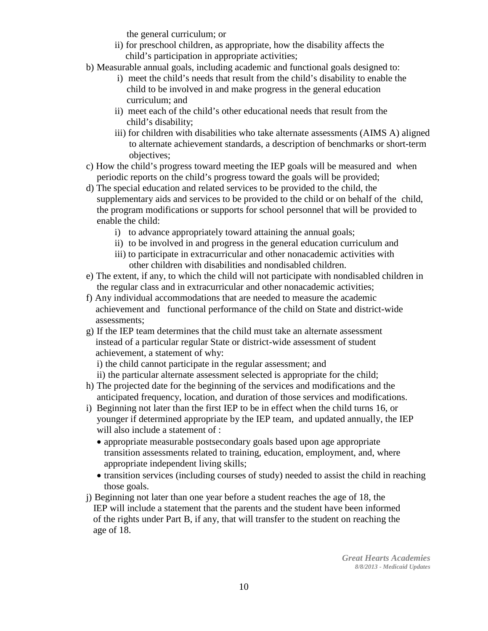the general curriculum; or

- ii) for preschool children, as appropriate, how the disability affects the child's participation in appropriate activities;
- b) Measurable annual goals, including academic and functional goals designed to:
	- i) meet the child's needs that result from the child's disability to enable the child to be involved in and make progress in the general education curriculum; and
	- ii) meet each of the child's other educational needs that result from the child's disability;
	- iii) for children with disabilities who take alternate assessments (AIMS A) aligned to alternate achievement standards, a description of benchmarks or short-term objectives;
- c) How the child's progress toward meeting the IEP goals will be measured and when periodic reports on the child's progress toward the goals will be provided;
- d) The special education and related services to be provided to the child, the supplementary aids and services to be provided to the child or on behalf of the child, the program modifications or supports for school personnel that will be provided to enable the child:
	- i) to advance appropriately toward attaining the annual goals;
	- ii) to be involved in and progress in the general education curriculum and
	- iii) to participate in extracurricular and other nonacademic activities with other children with disabilities and nondisabled children.
- e) The extent, if any, to which the child will not participate with nondisabled children in the regular class and in extracurricular and other nonacademic activities;
- f) Any individual accommodations that are needed to measure the academic achievement and functional performance of the child on State and district-wide assessments;
- g) If the IEP team determines that the child must take an alternate assessment instead of a particular regular State or district-wide assessment of student achievement, a statement of why:

i) the child cannot participate in the regular assessment; and

- ii) the particular alternate assessment selected is appropriate for the child;
- h) The projected date for the beginning of the services and modifications and the anticipated frequency, location, and duration of those services and modifications.
- i) Beginning not later than the first IEP to be in effect when the child turns 16, or younger if determined appropriate by the IEP team, and updated annually, the IEP will also include a statement of :
	- appropriate measurable postsecondary goals based upon age appropriate transition assessments related to training, education, employment, and, where appropriate independent living skills;
	- transition services (including courses of study) needed to assist the child in reaching those goals.
- j) Beginning not later than one year before a student reaches the age of 18, the IEP will include a statement that the parents and the student have been informed of the rights under Part B, if any, that will transfer to the student on reaching the age of 18.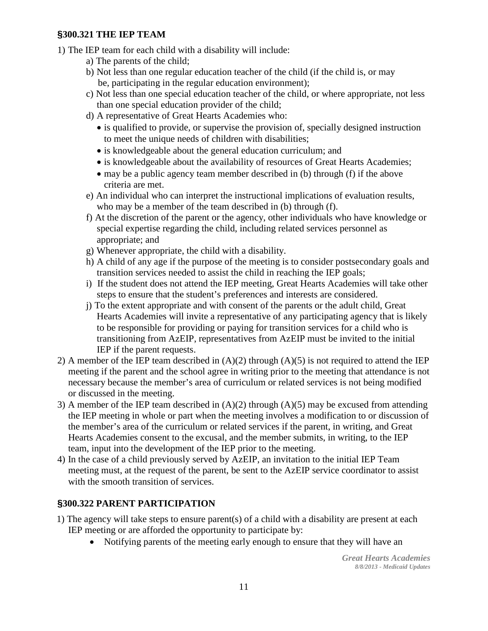#### **§300.321 THE IEP TEAM**

- 1) The IEP team for each child with a disability will include:
	- a) The parents of the child;
	- b) Not less than one regular education teacher of the child (if the child is, or may be, participating in the regular education environment);
	- c) Not less than one special education teacher of the child, or where appropriate, not less than one special education provider of the child;
	- d) A representative of Great Hearts Academies who:
		- is qualified to provide, or supervise the provision of, specially designed instruction to meet the unique needs of children with disabilities;
		- is knowledgeable about the general education curriculum; and
		- is knowledgeable about the availability of resources of Great Hearts Academies;
		- may be a public agency team member described in (b) through (f) if the above criteria are met.
	- e) An individual who can interpret the instructional implications of evaluation results, who may be a member of the team described in (b) through (f).
	- f) At the discretion of the parent or the agency, other individuals who have knowledge or special expertise regarding the child, including related services personnel as appropriate; and
	- g) Whenever appropriate, the child with a disability.
	- h) A child of any age if the purpose of the meeting is to consider postsecondary goals and transition services needed to assist the child in reaching the IEP goals;
	- i) If the student does not attend the IEP meeting, Great Hearts Academies will take other steps to ensure that the student's preferences and interests are considered.
	- j) To the extent appropriate and with consent of the parents or the adult child, Great Hearts Academies will invite a representative of any participating agency that is likely to be responsible for providing or paying for transition services for a child who is transitioning from AzEIP, representatives from AzEIP must be invited to the initial IEP if the parent requests.
- 2) A member of the IEP team described in  $(A)(2)$  through  $(A)(5)$  is not required to attend the IEP meeting if the parent and the school agree in writing prior to the meeting that attendance is not necessary because the member's area of curriculum or related services is not being modified or discussed in the meeting.
- 3) A member of the IEP team described in (A)(2) through (A)(5) may be excused from attending the IEP meeting in whole or part when the meeting involves a modification to or discussion of the member's area of the curriculum or related services if the parent, in writing, and Great Hearts Academies consent to the excusal, and the member submits, in writing, to the IEP team, input into the development of the IEP prior to the meeting.
- 4) In the case of a child previously served by AzEIP, an invitation to the initial IEP Team meeting must, at the request of the parent, be sent to the AzEIP service coordinator to assist with the smooth transition of services.

#### **§300.322 PARENT PARTICIPATION**

- 1) The agency will take steps to ensure parent(s) of a child with a disability are present at each IEP meeting or are afforded the opportunity to participate by:
	- Notifying parents of the meeting early enough to ensure that they will have an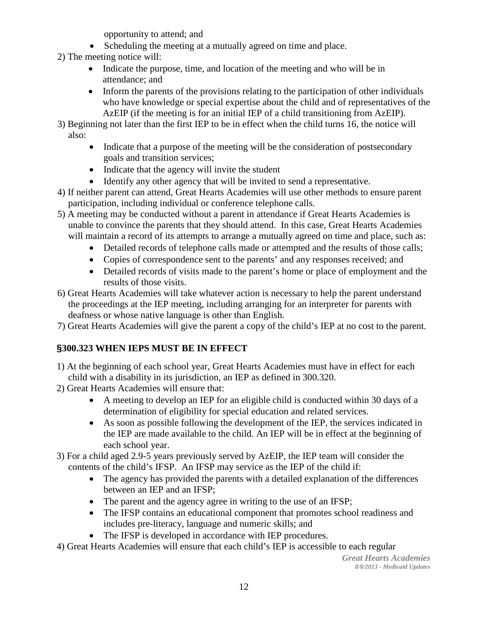opportunity to attend; and

- Scheduling the meeting at a mutually agreed on time and place.
- 2) The meeting notice will:
	- Indicate the purpose, time, and location of the meeting and who will be in attendance; and
	- Inform the parents of the provisions relating to the participation of other individuals who have knowledge or special expertise about the child and of representatives of the AzEIP (if the meeting is for an initial IEP of a child transitioning from AzEIP).
- 3) Beginning not later than the first IEP to be in effect when the child turns 16, the notice will also:
	- Indicate that a purpose of the meeting will be the consideration of postsecondary goals and transition services;
	- Indicate that the agency will invite the student
	- Identify any other agency that will be invited to send a representative.
- 4) If neither parent can attend, Great Hearts Academies will use other methods to ensure parent participation, including individual or conference telephone calls.
- 5) A meeting may be conducted without a parent in attendance if Great Hearts Academies is unable to convince the parents that they should attend. In this case, Great Hearts Academies will maintain a record of its attempts to arrange a mutually agreed on time and place, such as:
	- Detailed records of telephone calls made or attempted and the results of those calls;
	- Copies of correspondence sent to the parents' and any responses received; and
	- Detailed records of visits made to the parent's home or place of employment and the results of those visits.
- 6) Great Hearts Academies will take whatever action is necessary to help the parent understand the proceedings at the IEP meeting, including arranging for an interpreter for parents with deafness or whose native language is other than English.
- 7) Great Hearts Academies will give the parent a copy of the child's IEP at no cost to the parent.

#### **§300.323 WHEN IEPS MUST BE IN EFFECT**

- 1) At the beginning of each school year, Great Hearts Academies must have in effect for each child with a disability in its jurisdiction, an IEP as defined in 300.320.
- 2) Great Hearts Academies will ensure that:
	- A meeting to develop an IEP for an eligible child is conducted within 30 days of a determination of eligibility for special education and related services.
	- As soon as possible following the development of the IEP, the services indicated in the IEP are made available to the child. An IEP will be in effect at the beginning of each school year.
- 3) For a child aged 2.9-5 years previously served by AzEIP, the IEP team will consider the contents of the child's IFSP. An IFSP may service as the IEP of the child if:
	- The agency has provided the parents with a detailed explanation of the differences between an IEP and an IFSP;
	- The parent and the agency agree in writing to the use of an IFSP;
	- The IFSP contains an educational component that promotes school readiness and includes pre-literacy, language and numeric skills; and
	- The IFSP is developed in accordance with IEP procedures.
- 4) Great Hearts Academies will ensure that each child's IEP is accessible to each regular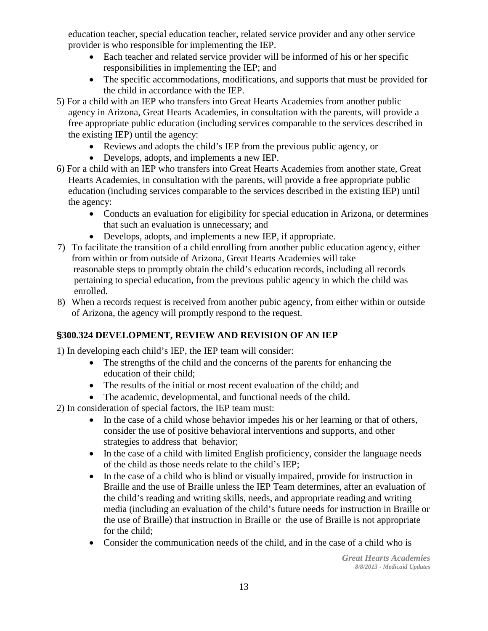education teacher, special education teacher, related service provider and any other service provider is who responsible for implementing the IEP.

- Each teacher and related service provider will be informed of his or her specific responsibilities in implementing the IEP; and
- The specific accommodations, modifications, and supports that must be provided for the child in accordance with the IEP.
- 5) For a child with an IEP who transfers into Great Hearts Academies from another public agency in Arizona, Great Hearts Academies, in consultation with the parents, will provide a free appropriate public education (including services comparable to the services described in the existing IEP) until the agency:
	- Reviews and adopts the child's IEP from the previous public agency, or
	- Develops, adopts, and implements a new IEP.
- 6) For a child with an IEP who transfers into Great Hearts Academies from another state, Great Hearts Academies, in consultation with the parents, will provide a free appropriate public education (including services comparable to the services described in the existing IEP) until the agency:
	- Conducts an evaluation for eligibility for special education in Arizona, or determines that such an evaluation is unnecessary; and
	- Develops, adopts, and implements a new IEP, if appropriate.
- 7) To facilitate the transition of a child enrolling from another public education agency, either from within or from outside of Arizona, Great Hearts Academies will take reasonable steps to promptly obtain the child's education records, including all records pertaining to special education, from the previous public agency in which the child was enrolled.
- 8) When a records request is received from another pubic agency, from either within or outside of Arizona, the agency will promptly respond to the request.

#### **§300.324 DEVELOPMENT, REVIEW AND REVISION OF AN IEP**

1) In developing each child's IEP, the IEP team will consider:

- The strengths of the child and the concerns of the parents for enhancing the education of their child;
- The results of the initial or most recent evaluation of the child; and
- The academic, developmental, and functional needs of the child.
- 2) In consideration of special factors, the IEP team must:
	- In the case of a child whose behavior impedes his or her learning or that of others, consider the use of positive behavioral interventions and supports, and other strategies to address that behavior;
	- In the case of a child with limited English proficiency, consider the language needs of the child as those needs relate to the child's IEP;
	- In the case of a child who is blind or visually impaired, provide for instruction in Braille and the use of Braille unless the IEP Team determines, after an evaluation of the child's reading and writing skills, needs, and appropriate reading and writing media (including an evaluation of the child's future needs for instruction in Braille or the use of Braille) that instruction in Braille or the use of Braille is not appropriate for the child;
	- Consider the communication needs of the child, and in the case of a child who is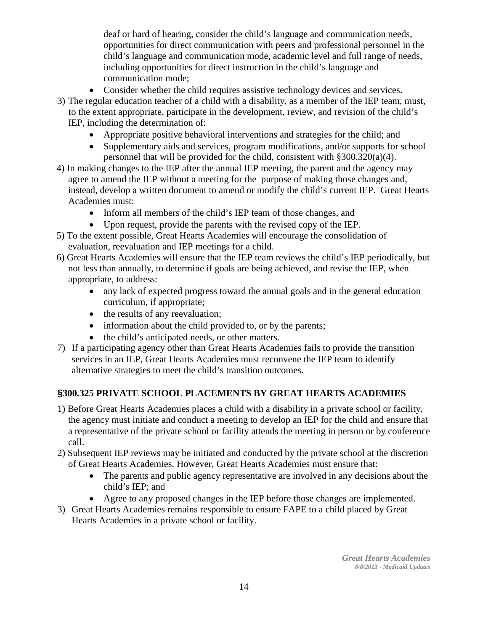deaf or hard of hearing, consider the child's language and communication needs, opportunities for direct communication with peers and professional personnel in the child's language and communication mode, academic level and full range of needs, including opportunities for direct instruction in the child's language and communication mode;

- Consider whether the child requires assistive technology devices and services.
- 3) The regular education teacher of a child with a disability, as a member of the IEP team, must, to the extent appropriate, participate in the development, review, and revision of the child's IEP, including the determination of:
	- Appropriate positive behavioral interventions and strategies for the child; and
	- Supplementary aids and services, program modifications, and/or supports for school personnel that will be provided for the child, consistent with §300.320(a)(4).
- 4) In making changes to the IEP after the annual IEP meeting, the parent and the agency may agree to amend the IEP without a meeting for the purpose of making those changes and, instead, develop a written document to amend or modify the child's current IEP. Great Hearts Academies must:
	- Inform all members of the child's IEP team of those changes, and
	- Upon request, provide the parents with the revised copy of the IEP.
- 5) To the extent possible, Great Hearts Academies will encourage the consolidation of evaluation, reevaluation and IEP meetings for a child.
- 6) Great Hearts Academies will ensure that the IEP team reviews the child's IEP periodically, but not less than annually, to determine if goals are being achieved, and revise the IEP, when appropriate, to address:
	- any lack of expected progress toward the annual goals and in the general education curriculum, if appropriate;
	- the results of any reevaluation;
	- information about the child provided to, or by the parents;
	- the child's anticipated needs, or other matters.
- 7) If a participating agency other than Great Hearts Academies fails to provide the transition services in an IEP, Great Hearts Academies must reconvene the IEP team to identify alternative strategies to meet the child's transition outcomes.

#### **§300.325 PRIVATE SCHOOL PLACEMENTS BY GREAT HEARTS ACADEMIES**

- 1) Before Great Hearts Academies places a child with a disability in a private school or facility, the agency must initiate and conduct a meeting to develop an IEP for the child and ensure that a representative of the private school or facility attends the meeting in person or by conference call.
- 2) Subsequent IEP reviews may be initiated and conducted by the private school at the discretion of Great Hearts Academies. However, Great Hearts Academies must ensure that:
	- The parents and public agency representative are involved in any decisions about the child's IEP; and
	- Agree to any proposed changes in the IEP before those changes are implemented.
- 3) Great Hearts Academies remains responsible to ensure FAPE to a child placed by Great Hearts Academies in a private school or facility.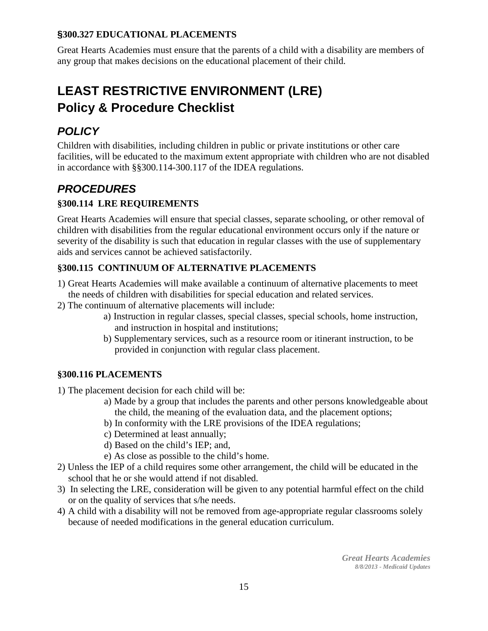#### **§300.327 EDUCATIONAL PLACEMENTS**

Great Hearts Academies must ensure that the parents of a child with a disability are members of any group that makes decisions on the educational placement of their child.

## **LEAST RESTRICTIVE ENVIRONMENT (LRE) Policy & Procedure Checklist**

### *POLICY*

Children with disabilities, including children in public or private institutions or other care facilities, will be educated to the maximum extent appropriate with children who are not disabled in accordance with §§300.114-300.117 of the IDEA regulations.

### *PROCEDURES*

#### **§300.114 LRE REQUIREMENTS**

Great Hearts Academies will ensure that special classes, separate schooling, or other removal of children with disabilities from the regular educational environment occurs only if the nature or severity of the disability is such that education in regular classes with the use of supplementary aids and services cannot be achieved satisfactorily.

#### **§300.115 CONTINUUM OF ALTERNATIVE PLACEMENTS**

- 1) Great Hearts Academies will make available a continuum of alternative placements to meet the needs of children with disabilities for special education and related services.
- 2) The continuum of alternative placements will include:
	- a) Instruction in regular classes, special classes, special schools, home instruction, and instruction in hospital and institutions;
	- b) Supplementary services, such as a resource room or itinerant instruction, to be provided in conjunction with regular class placement.

#### **§300.116 PLACEMENTS**

1) The placement decision for each child will be:

- a) Made by a group that includes the parents and other persons knowledgeable about the child, the meaning of the evaluation data, and the placement options;
- b) In conformity with the LRE provisions of the IDEA regulations;
- c) Determined at least annually;
- d) Based on the child's IEP; and,
- e) As close as possible to the child's home.
- 2) Unless the IEP of a child requires some other arrangement, the child will be educated in the school that he or she would attend if not disabled.
- 3) In selecting the LRE, consideration will be given to any potential harmful effect on the child or on the quality of services that s/he needs.
- 4) A child with a disability will not be removed from age-appropriate regular classrooms solely because of needed modifications in the general education curriculum.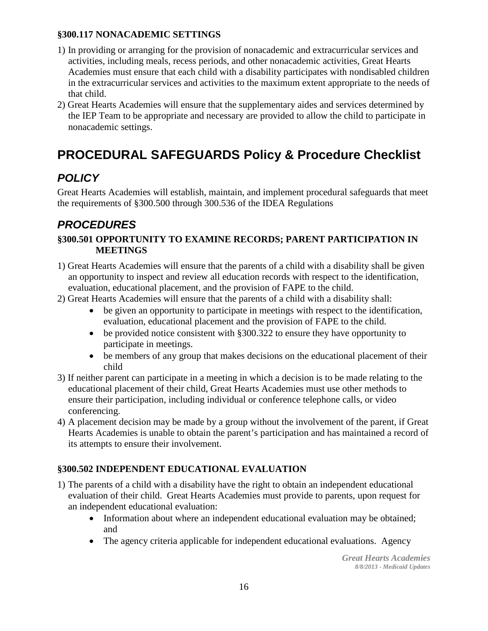#### **§300.117 NONACADEMIC SETTINGS**

- 1) In providing or arranging for the provision of nonacademic and extracurricular services and activities, including meals, recess periods, and other nonacademic activities, Great Hearts Academies must ensure that each child with a disability participates with nondisabled children in the extracurricular services and activities to the maximum extent appropriate to the needs of that child.
- 2) Great Hearts Academies will ensure that the supplementary aides and services determined by the IEP Team to be appropriate and necessary are provided to allow the child to participate in nonacademic settings.

## **PROCEDURAL SAFEGUARDS Policy & Procedure Checklist**

### *POLICY*

Great Hearts Academies will establish, maintain, and implement procedural safeguards that meet the requirements of §300.500 through 300.536 of the IDEA Regulations

### *PROCEDURES*

#### **§300.501 OPPORTUNITY TO EXAMINE RECORDS; PARENT PARTICIPATION IN MEETINGS**

- 1) Great Hearts Academies will ensure that the parents of a child with a disability shall be given an opportunity to inspect and review all education records with respect to the identification, evaluation, educational placement, and the provision of FAPE to the child.
- 2) Great Hearts Academies will ensure that the parents of a child with a disability shall:
	- be given an opportunity to participate in meetings with respect to the identification, evaluation, educational placement and the provision of FAPE to the child.
	- be provided notice consistent with §300.322 to ensure they have opportunity to participate in meetings.
	- be members of any group that makes decisions on the educational placement of their child
- 3) If neither parent can participate in a meeting in which a decision is to be made relating to the educational placement of their child, Great Hearts Academies must use other methods to ensure their participation, including individual or conference telephone calls, or video conferencing.
- 4) A placement decision may be made by a group without the involvement of the parent, if Great Hearts Academies is unable to obtain the parent's participation and has maintained a record of its attempts to ensure their involvement.

#### **§300.502 INDEPENDENT EDUCATIONAL EVALUATION**

- 1) The parents of a child with a disability have the right to obtain an independent educational evaluation of their child. Great Hearts Academies must provide to parents, upon request for an independent educational evaluation:
	- Information about where an independent educational evaluation may be obtained; and
	- The agency criteria applicable for independent educational evaluations. Agency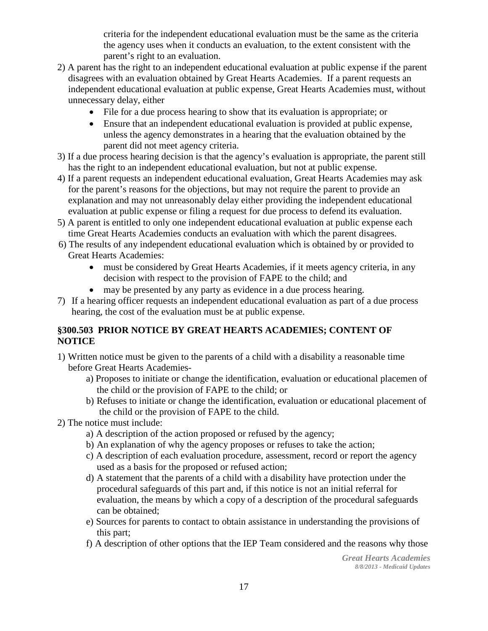criteria for the independent educational evaluation must be the same as the criteria the agency uses when it conducts an evaluation, to the extent consistent with the parent's right to an evaluation.

- 2) A parent has the right to an independent educational evaluation at public expense if the parent disagrees with an evaluation obtained by Great Hearts Academies. If a parent requests an independent educational evaluation at public expense, Great Hearts Academies must, without unnecessary delay, either
	- File for a due process hearing to show that its evaluation is appropriate; or
	- Ensure that an independent educational evaluation is provided at public expense, unless the agency demonstrates in a hearing that the evaluation obtained by the parent did not meet agency criteria.
- 3) If a due process hearing decision is that the agency's evaluation is appropriate, the parent still has the right to an independent educational evaluation, but not at public expense.
- 4) If a parent requests an independent educational evaluation, Great Hearts Academies may ask for the parent's reasons for the objections, but may not require the parent to provide an explanation and may not unreasonably delay either providing the independent educational evaluation at public expense or filing a request for due process to defend its evaluation.
- 5) A parent is entitled to only one independent educational evaluation at public expense each time Great Hearts Academies conducts an evaluation with which the parent disagrees.
- 6) The results of any independent educational evaluation which is obtained by or provided to Great Hearts Academies:
	- must be considered by Great Hearts Academies, if it meets agency criteria, in any decision with respect to the provision of FAPE to the child; and
	- may be presented by any party as evidence in a due process hearing.
- 7) If a hearing officer requests an independent educational evaluation as part of a due process hearing, the cost of the evaluation must be at public expense.

#### **§300.503 PRIOR NOTICE BY GREAT HEARTS ACADEMIES; CONTENT OF NOTICE**

- 1) Written notice must be given to the parents of a child with a disability a reasonable time before Great Hearts Academies
	- a) Proposes to initiate or change the identification, evaluation or educational placemen of the child or the provision of FAPE to the child; or
	- b) Refuses to initiate or change the identification, evaluation or educational placement of the child or the provision of FAPE to the child.
- 2) The notice must include:
	- a) A description of the action proposed or refused by the agency;
	- b) An explanation of why the agency proposes or refuses to take the action;
	- c) A description of each evaluation procedure, assessment, record or report the agency used as a basis for the proposed or refused action;
	- d) A statement that the parents of a child with a disability have protection under the procedural safeguards of this part and, if this notice is not an initial referral for evaluation, the means by which a copy of a description of the procedural safeguards can be obtained;
	- e) Sources for parents to contact to obtain assistance in understanding the provisions of this part;
	- f) A description of other options that the IEP Team considered and the reasons why those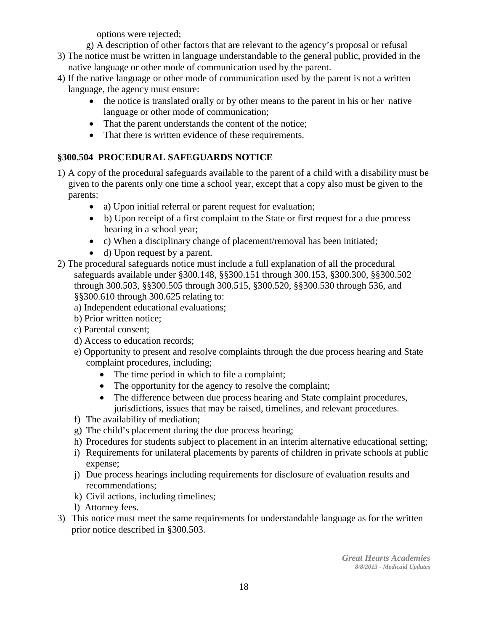options were rejected;

- g) A description of other factors that are relevant to the agency's proposal or refusal
- 3) The notice must be written in language understandable to the general public, provided in the native language or other mode of communication used by the parent.
- 4) If the native language or other mode of communication used by the parent is not a written language, the agency must ensure:
	- the notice is translated orally or by other means to the parent in his or her native language or other mode of communication;
	- That the parent understands the content of the notice;
	- That there is written evidence of these requirements.

#### **§300.504 PROCEDURAL SAFEGUARDS NOTICE**

- 1) A copy of the procedural safeguards available to the parent of a child with a disability must be given to the parents only one time a school year, except that a copy also must be given to the parents:
	- a) Upon initial referral or parent request for evaluation;
	- b) Upon receipt of a first complaint to the State or first request for a due process hearing in a school year;
	- c) When a disciplinary change of placement/removal has been initiated;
	- d) Upon request by a parent.
- 2) The procedural safeguards notice must include a full explanation of all the procedural safeguards available under §300.148, §§300.151 through 300.153, §300.300, §§300.502 through 300.503, §§300.505 through 300.515, §300.520, §§300.530 through 536, and §§300.610 through 300.625 relating to:
	- a) Independent educational evaluations;
	- b) Prior written notice;
	- c) Parental consent;
	- d) Access to education records;
	- e) Opportunity to present and resolve complaints through the due process hearing and State complaint procedures, including;
		- The time period in which to file a complaint;
		- The opportunity for the agency to resolve the complaint;
		- The difference between due process hearing and State complaint procedures, jurisdictions, issues that may be raised, timelines, and relevant procedures.
	- f) The availability of mediation;
	- g) The child's placement during the due process hearing;
	- h) Procedures for students subject to placement in an interim alternative educational setting;
	- i) Requirements for unilateral placements by parents of children in private schools at public expense;
	- j) Due process hearings including requirements for disclosure of evaluation results and recommendations;
	- k) Civil actions, including timelines;
	- l) Attorney fees.
- 3) This notice must meet the same requirements for understandable language as for the written prior notice described in §300.503.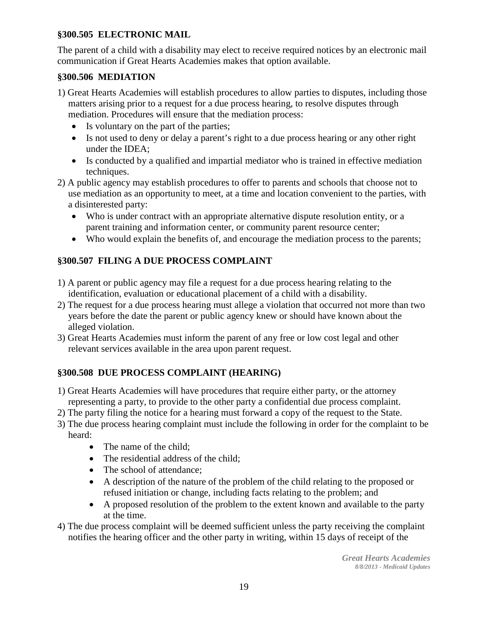#### **§300.505 ELECTRONIC MAIL**

The parent of a child with a disability may elect to receive required notices by an electronic mail communication if Great Hearts Academies makes that option available.

#### **§300.506 MEDIATION**

- 1) Great Hearts Academies will establish procedures to allow parties to disputes, including those matters arising prior to a request for a due process hearing, to resolve disputes through mediation. Procedures will ensure that the mediation process:
	- Is voluntary on the part of the parties;
	- Is not used to deny or delay a parent's right to a due process hearing or any other right under the IDEA;
	- Is conducted by a qualified and impartial mediator who is trained in effective mediation techniques.
- 2) A public agency may establish procedures to offer to parents and schools that choose not to use mediation as an opportunity to meet, at a time and location convenient to the parties, with a disinterested party:
	- Who is under contract with an appropriate alternative dispute resolution entity, or a parent training and information center, or community parent resource center;
	- Who would explain the benefits of, and encourage the mediation process to the parents;

#### **§300.507 FILING A DUE PROCESS COMPLAINT**

- 1) A parent or public agency may file a request for a due process hearing relating to the identification, evaluation or educational placement of a child with a disability.
- 2) The request for a due process hearing must allege a violation that occurred not more than two years before the date the parent or public agency knew or should have known about the alleged violation.
- 3) Great Hearts Academies must inform the parent of any free or low cost legal and other relevant services available in the area upon parent request.

#### **§300.508 DUE PROCESS COMPLAINT (HEARING)**

- 1) Great Hearts Academies will have procedures that require either party, or the attorney representing a party, to provide to the other party a confidential due process complaint.
- 2) The party filing the notice for a hearing must forward a copy of the request to the State.
- 3) The due process hearing complaint must include the following in order for the complaint to be heard:
	- The name of the child;
	- The residential address of the child:
	- The school of attendance:
	- A description of the nature of the problem of the child relating to the proposed or refused initiation or change, including facts relating to the problem; and
	- A proposed resolution of the problem to the extent known and available to the party at the time.
- 4) The due process complaint will be deemed sufficient unless the party receiving the complaint notifies the hearing officer and the other party in writing, within 15 days of receipt of the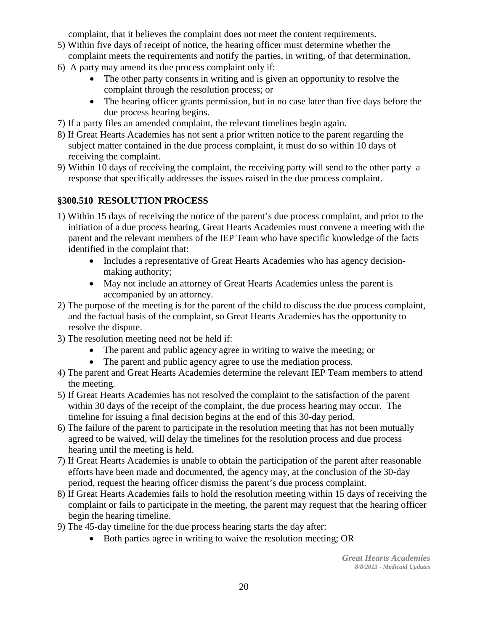complaint, that it believes the complaint does not meet the content requirements.

- 5) Within five days of receipt of notice, the hearing officer must determine whether the complaint meets the requirements and notify the parties, in writing, of that determination.
- 6) A party may amend its due process complaint only if:
	- The other party consents in writing and is given an opportunity to resolve the complaint through the resolution process; or
	- The hearing officer grants permission, but in no case later than five days before the due process hearing begins.
- 7) If a party files an amended complaint, the relevant timelines begin again.
- 8) If Great Hearts Academies has not sent a prior written notice to the parent regarding the subject matter contained in the due process complaint, it must do so within 10 days of receiving the complaint.
- 9) Within 10 days of receiving the complaint, the receiving party will send to the other party a response that specifically addresses the issues raised in the due process complaint.

#### **§300.510 RESOLUTION PROCESS**

- 1) Within 15 days of receiving the notice of the parent's due process complaint, and prior to the initiation of a due process hearing, Great Hearts Academies must convene a meeting with the parent and the relevant members of the IEP Team who have specific knowledge of the facts identified in the complaint that:
	- Includes a representative of Great Hearts Academies who has agency decisionmaking authority;
	- May not include an attorney of Great Hearts Academies unless the parent is accompanied by an attorney.
- 2) The purpose of the meeting is for the parent of the child to discuss the due process complaint, and the factual basis of the complaint, so Great Hearts Academies has the opportunity to resolve the dispute.
- 3) The resolution meeting need not be held if:
	- The parent and public agency agree in writing to waive the meeting; or
	- The parent and public agency agree to use the mediation process.
- 4) The parent and Great Hearts Academies determine the relevant IEP Team members to attend the meeting.
- 5) If Great Hearts Academies has not resolved the complaint to the satisfaction of the parent within 30 days of the receipt of the complaint, the due process hearing may occur. The timeline for issuing a final decision begins at the end of this 30-day period.
- 6) The failure of the parent to participate in the resolution meeting that has not been mutually agreed to be waived, will delay the timelines for the resolution process and due process hearing until the meeting is held.
- 7) If Great Hearts Academies is unable to obtain the participation of the parent after reasonable efforts have been made and documented, the agency may, at the conclusion of the 30-day period, request the hearing officer dismiss the parent's due process complaint.
- 8) If Great Hearts Academies fails to hold the resolution meeting within 15 days of receiving the complaint or fails to participate in the meeting, the parent may request that the hearing officer begin the hearing timeline.
- 9) The 45-day timeline for the due process hearing starts the day after:
	- Both parties agree in writing to waive the resolution meeting; OR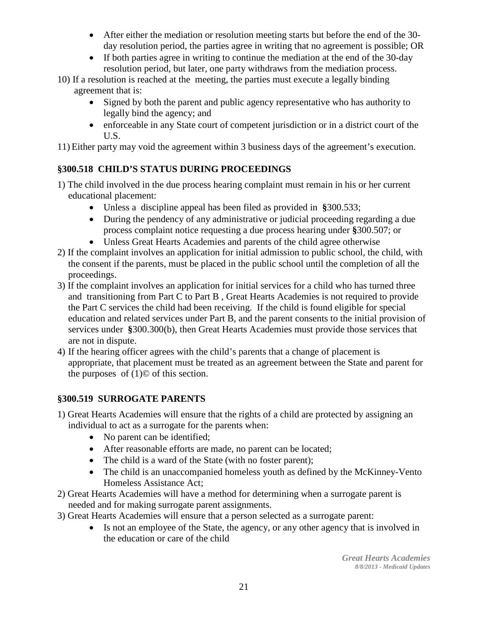- After either the mediation or resolution meeting starts but before the end of the 30day resolution period, the parties agree in writing that no agreement is possible; OR
- If both parties agree in writing to continue the mediation at the end of the 30-day resolution period, but later, one party withdraws from the mediation process.
- 10) If a resolution is reached at the meeting, the parties must execute a legally binding agreement that is:
	- Signed by both the parent and public agency representative who has authority to legally bind the agency; and
	- enforceable in any State court of competent jurisdiction or in a district court of the U.S.

11) Either party may void the agreement within 3 business days of the agreement's execution.

#### **§300.518 CHILD'S STATUS DURING PROCEEDINGS**

- 1) The child involved in the due process hearing complaint must remain in his or her current educational placement:
	- Unless a discipline appeal has been filed as provided in **§**300.533;
	- During the pendency of any administrative or judicial proceeding regarding a due process complaint notice requesting a due process hearing under **§**300.507; or
	- Unless Great Hearts Academies and parents of the child agree otherwise
- 2) If the complaint involves an application for initial admission to public school, the child, with the consent if the parents, must be placed in the public school until the completion of all the proceedings.
- 3) If the complaint involves an application for initial services for a child who has turned three and transitioning from Part C to Part B , Great Hearts Academies is not required to provide the Part C services the child had been receiving. If the child is found eligible for special education and related services under Part B, and the parent consents to the initial provision of services under **§**300.300(b), then Great Hearts Academies must provide those services that are not in dispute.
- 4) If the hearing officer agrees with the child's parents that a change of placement is appropriate, that placement must be treated as an agreement between the State and parent for the purposes of  $(1)$ © of this section.

#### **§300.519 SURROGATE PARENTS**

- 1) Great Hearts Academies will ensure that the rights of a child are protected by assigning an individual to act as a surrogate for the parents when:
	- No parent can be identified;
	- After reasonable efforts are made, no parent can be located;
	- The child is a ward of the State (with no foster parent);
	- The child is an unaccompanied homeless youth as defined by the McKinney-Vento Homeless Assistance Act;
- 2) Great Hearts Academies will have a method for determining when a surrogate parent is needed and for making surrogate parent assignments.
- 3) Great Hearts Academies will ensure that a person selected as a surrogate parent:
	- Is not an employee of the State, the agency, or any other agency that is involved in the education or care of the child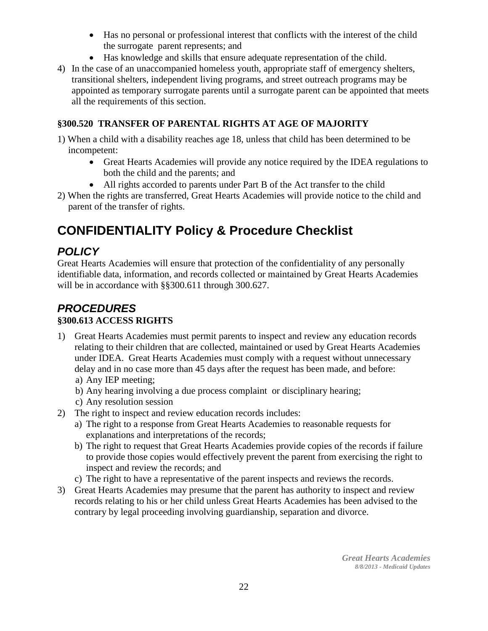- Has no personal or professional interest that conflicts with the interest of the child the surrogate parent represents; and
- Has knowledge and skills that ensure adequate representation of the child.
- 4) In the case of an unaccompanied homeless youth, appropriate staff of emergency shelters, transitional shelters, independent living programs, and street outreach programs may be appointed as temporary surrogate parents until a surrogate parent can be appointed that meets all the requirements of this section.

#### **§300.520 TRANSFER OF PARENTAL RIGHTS AT AGE OF MAJORITY**

- 1) When a child with a disability reaches age 18, unless that child has been determined to be incompetent:
	- Great Hearts Academies will provide any notice required by the IDEA regulations to both the child and the parents; and
	- All rights accorded to parents under Part B of the Act transfer to the child
- 2) When the rights are transferred, Great Hearts Academies will provide notice to the child and parent of the transfer of rights.

## **CONFIDENTIALITY Policy & Procedure Checklist**

### *POLICY*

Great Hearts Academies will ensure that protection of the confidentiality of any personally identifiable data, information, and records collected or maintained by Great Hearts Academies will be in accordance with §§300.611 through 300.627.

#### *PROCEDURES* **§300.613 ACCESS RIGHTS**

- 1) Great Hearts Academies must permit parents to inspect and review any education records relating to their children that are collected, maintained or used by Great Hearts Academies under IDEA. Great Hearts Academies must comply with a request without unnecessary delay and in no case more than 45 days after the request has been made, and before: a) Any IEP meeting;
	- b) Any hearing involving a due process complaint or disciplinary hearing;
	- c) Any resolution session
- 2) The right to inspect and review education records includes:
	- a) The right to a response from Great Hearts Academies to reasonable requests for explanations and interpretations of the records;
	- b) The right to request that Great Hearts Academies provide copies of the records if failure to provide those copies would effectively prevent the parent from exercising the right to inspect and review the records; and
	- c) The right to have a representative of the parent inspects and reviews the records.
- 3) Great Hearts Academies may presume that the parent has authority to inspect and review records relating to his or her child unless Great Hearts Academies has been advised to the contrary by legal proceeding involving guardianship, separation and divorce.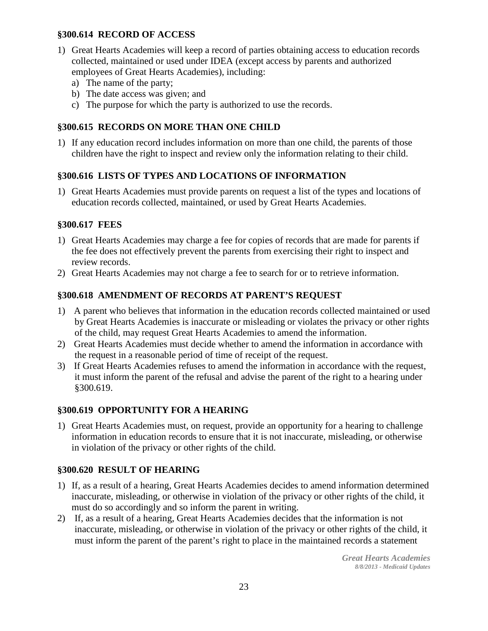#### **§300.614 RECORD OF ACCESS**

- 1) Great Hearts Academies will keep a record of parties obtaining access to education records collected, maintained or used under IDEA (except access by parents and authorized employees of Great Hearts Academies), including:
	- a) The name of the party;
	- b) The date access was given; and
	- c) The purpose for which the party is authorized to use the records.

#### **§300.615 RECORDS ON MORE THAN ONE CHILD**

1) If any education record includes information on more than one child, the parents of those children have the right to inspect and review only the information relating to their child.

#### **§300.616 LISTS OF TYPES AND LOCATIONS OF INFORMATION**

1) Great Hearts Academies must provide parents on request a list of the types and locations of education records collected, maintained, or used by Great Hearts Academies.

#### **§300.617 FEES**

- 1) Great Hearts Academies may charge a fee for copies of records that are made for parents if the fee does not effectively prevent the parents from exercising their right to inspect and review records.
- 2) Great Hearts Academies may not charge a fee to search for or to retrieve information.

#### **§300.618 AMENDMENT OF RECORDS AT PARENT'S REQUEST**

- 1) A parent who believes that information in the education records collected maintained or used by Great Hearts Academies is inaccurate or misleading or violates the privacy or other rights of the child, may request Great Hearts Academies to amend the information.
- 2) Great Hearts Academies must decide whether to amend the information in accordance with the request in a reasonable period of time of receipt of the request.
- 3) If Great Hearts Academies refuses to amend the information in accordance with the request, it must inform the parent of the refusal and advise the parent of the right to a hearing under §300.619.

#### **§300.619 OPPORTUNITY FOR A HEARING**

1) Great Hearts Academies must, on request, provide an opportunity for a hearing to challenge information in education records to ensure that it is not inaccurate, misleading, or otherwise in violation of the privacy or other rights of the child.

#### **§300.620 RESULT OF HEARING**

- 1) If, as a result of a hearing, Great Hearts Academies decides to amend information determined inaccurate, misleading, or otherwise in violation of the privacy or other rights of the child, it must do so accordingly and so inform the parent in writing.
- 2) If, as a result of a hearing, Great Hearts Academies decides that the information is not inaccurate, misleading, or otherwise in violation of the privacy or other rights of the child, it must inform the parent of the parent's right to place in the maintained records a statement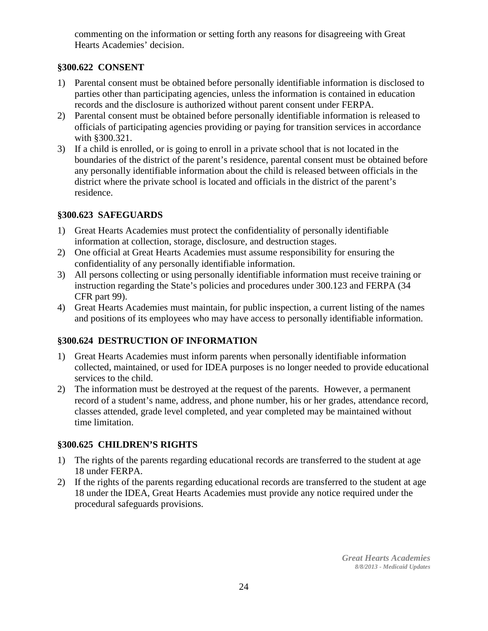commenting on the information or setting forth any reasons for disagreeing with Great Hearts Academies' decision.

#### **§300.622 CONSENT**

- 1) Parental consent must be obtained before personally identifiable information is disclosed to parties other than participating agencies, unless the information is contained in education records and the disclosure is authorized without parent consent under FERPA.
- 2) Parental consent must be obtained before personally identifiable information is released to officials of participating agencies providing or paying for transition services in accordance with §300.321.
- 3) If a child is enrolled, or is going to enroll in a private school that is not located in the boundaries of the district of the parent's residence, parental consent must be obtained before any personally identifiable information about the child is released between officials in the district where the private school is located and officials in the district of the parent's residence.

#### **§300.623 SAFEGUARDS**

- 1) Great Hearts Academies must protect the confidentiality of personally identifiable information at collection, storage, disclosure, and destruction stages.
- 2) One official at Great Hearts Academies must assume responsibility for ensuring the confidentiality of any personally identifiable information.
- 3) All persons collecting or using personally identifiable information must receive training or instruction regarding the State's policies and procedures under 300.123 and FERPA (34 CFR part 99).
- 4) Great Hearts Academies must maintain, for public inspection, a current listing of the names and positions of its employees who may have access to personally identifiable information.

#### **§300.624 DESTRUCTION OF INFORMATION**

- 1) Great Hearts Academies must inform parents when personally identifiable information collected, maintained, or used for IDEA purposes is no longer needed to provide educational services to the child.
- 2) The information must be destroyed at the request of the parents. However, a permanent record of a student's name, address, and phone number, his or her grades, attendance record, classes attended, grade level completed, and year completed may be maintained without time limitation.

#### **§300.625 CHILDREN'S RIGHTS**

- 1) The rights of the parents regarding educational records are transferred to the student at age 18 under FERPA.
- 2) If the rights of the parents regarding educational records are transferred to the student at age 18 under the IDEA, Great Hearts Academies must provide any notice required under the procedural safeguards provisions.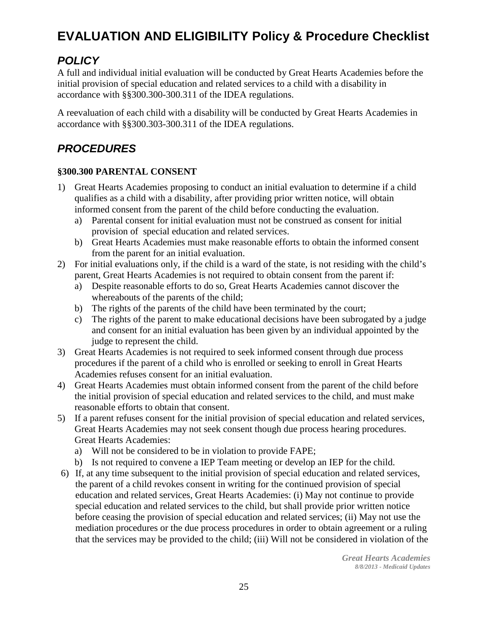## **EVALUATION AND ELIGIBILITY Policy & Procedure Checklist**

### *POLICY*

A full and individual initial evaluation will be conducted by Great Hearts Academies before the initial provision of special education and related services to a child with a disability in accordance with §§300.300-300.311 of the IDEA regulations.

A reevaluation of each child with a disability will be conducted by Great Hearts Academies in accordance with §§300.303-300.311 of the IDEA regulations.

### *PROCEDURES*

#### **§300.300 PARENTAL CONSENT**

- 1) Great Hearts Academies proposing to conduct an initial evaluation to determine if a child qualifies as a child with a disability, after providing prior written notice, will obtain informed consent from the parent of the child before conducting the evaluation.
	- a) Parental consent for initial evaluation must not be construed as consent for initial provision of special education and related services.
	- b) Great Hearts Academies must make reasonable efforts to obtain the informed consent from the parent for an initial evaluation.
- 2) For initial evaluations only, if the child is a ward of the state, is not residing with the child's parent, Great Hearts Academies is not required to obtain consent from the parent if:
	- a) Despite reasonable efforts to do so, Great Hearts Academies cannot discover the whereabouts of the parents of the child;
	- b) The rights of the parents of the child have been terminated by the court;
	- c) The rights of the parent to make educational decisions have been subrogated by a judge and consent for an initial evaluation has been given by an individual appointed by the judge to represent the child.
- 3) Great Hearts Academies is not required to seek informed consent through due process procedures if the parent of a child who is enrolled or seeking to enroll in Great Hearts Academies refuses consent for an initial evaluation.
- 4) Great Hearts Academies must obtain informed consent from the parent of the child before the initial provision of special education and related services to the child, and must make reasonable efforts to obtain that consent.
- 5) If a parent refuses consent for the initial provision of special education and related services, Great Hearts Academies may not seek consent though due process hearing procedures. Great Hearts Academies:
	- a) Will not be considered to be in violation to provide FAPE;
	- b) Is not required to convene a IEP Team meeting or develop an IEP for the child.
- 6) If, at any time subsequent to the initial provision of special education and related services, the parent of a child revokes consent in writing for the continued provision of special education and related services, Great Hearts Academies: (i) May not continue to provide special education and related services to the child, but shall provide prior written notice before ceasing the provision of special education and related services; (ii) May not use the mediation procedures or the due process procedures in order to obtain agreement or a ruling that the services may be provided to the child; (iii) Will not be considered in violation of the

*Great Hearts Academies 8/8/2013 - Medicaid Updates*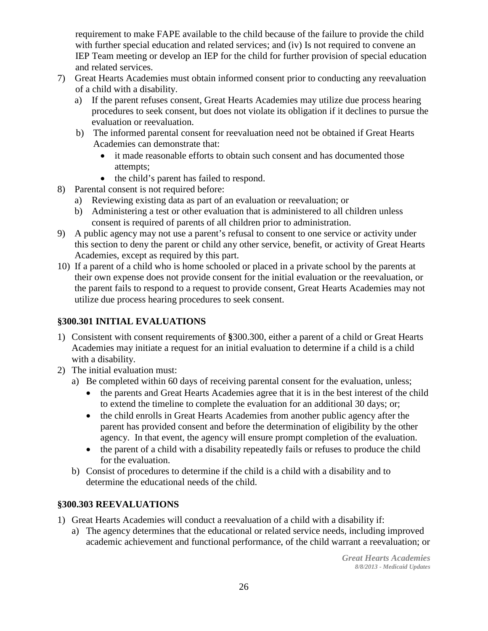requirement to make FAPE available to the child because of the failure to provide the child with further special education and related services; and (iv) Is not required to convene an IEP Team meeting or develop an IEP for the child for further provision of special education and related services.

- 7) Great Hearts Academies must obtain informed consent prior to conducting any reevaluation of a child with a disability.
	- a) If the parent refuses consent, Great Hearts Academies may utilize due process hearing procedures to seek consent, but does not violate its obligation if it declines to pursue the evaluation or reevaluation.
	- b) The informed parental consent for reevaluation need not be obtained if Great Hearts Academies can demonstrate that:
		- it made reasonable efforts to obtain such consent and has documented those attempts;
		- the child's parent has failed to respond.
- 8) Parental consent is not required before:
	- a) Reviewing existing data as part of an evaluation or reevaluation; or
	- b) Administering a test or other evaluation that is administered to all children unless consent is required of parents of all children prior to administration.
- 9) A public agency may not use a parent's refusal to consent to one service or activity under this section to deny the parent or child any other service, benefit, or activity of Great Hearts Academies, except as required by this part.
- 10) If a parent of a child who is home schooled or placed in a private school by the parents at their own expense does not provide consent for the initial evaluation or the reevaluation, or the parent fails to respond to a request to provide consent, Great Hearts Academies may not utilize due process hearing procedures to seek consent.

#### **§300.301 INITIAL EVALUATIONS**

- 1) Consistent with consent requirements of **§**300.300, either a parent of a child or Great Hearts Academies may initiate a request for an initial evaluation to determine if a child is a child with a disability.
- 2) The initial evaluation must:
	- a) Be completed within 60 days of receiving parental consent for the evaluation, unless;
		- the parents and Great Hearts Academies agree that it is in the best interest of the child to extend the timeline to complete the evaluation for an additional 30 days; or;
		- the child enrolls in Great Hearts Academies from another public agency after the parent has provided consent and before the determination of eligibility by the other agency. In that event, the agency will ensure prompt completion of the evaluation.
		- the parent of a child with a disability repeatedly fails or refuses to produce the child for the evaluation.
	- b) Consist of procedures to determine if the child is a child with a disability and to determine the educational needs of the child.

#### **§300.303 REEVALUATIONS**

- 1) Great Hearts Academies will conduct a reevaluation of a child with a disability if:
	- a) The agency determines that the educational or related service needs, including improved academic achievement and functional performance, of the child warrant a reevaluation; or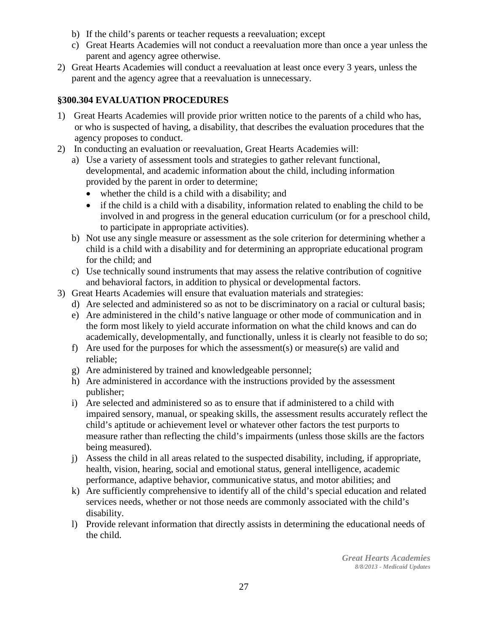- b) If the child's parents or teacher requests a reevaluation; except
- c) Great Hearts Academies will not conduct a reevaluation more than once a year unless the parent and agency agree otherwise.
- 2) Great Hearts Academies will conduct a reevaluation at least once every 3 years, unless the parent and the agency agree that a reevaluation is unnecessary.

#### **§300.304 EVALUATION PROCEDURES**

- 1) Great Hearts Academies will provide prior written notice to the parents of a child who has, or who is suspected of having, a disability, that describes the evaluation procedures that the agency proposes to conduct.
- 2) In conducting an evaluation or reevaluation, Great Hearts Academies will:
	- a) Use a variety of assessment tools and strategies to gather relevant functional, developmental, and academic information about the child, including information provided by the parent in order to determine;
		- whether the child is a child with a disability; and
		- if the child is a child with a disability, information related to enabling the child to be involved in and progress in the general education curriculum (or for a preschool child, to participate in appropriate activities).
	- b) Not use any single measure or assessment as the sole criterion for determining whether a child is a child with a disability and for determining an appropriate educational program for the child; and
	- c) Use technically sound instruments that may assess the relative contribution of cognitive and behavioral factors, in addition to physical or developmental factors.
- 3) Great Hearts Academies will ensure that evaluation materials and strategies:
	- d) Are selected and administered so as not to be discriminatory on a racial or cultural basis;
	- e) Are administered in the child's native language or other mode of communication and in the form most likely to yield accurate information on what the child knows and can do academically, developmentally, and functionally, unless it is clearly not feasible to do so;
	- f) Are used for the purposes for which the assessment(s) or measure(s) are valid and reliable;
	- g) Are administered by trained and knowledgeable personnel;
	- h) Are administered in accordance with the instructions provided by the assessment publisher;
	- i) Are selected and administered so as to ensure that if administered to a child with impaired sensory, manual, or speaking skills, the assessment results accurately reflect the child's aptitude or achievement level or whatever other factors the test purports to measure rather than reflecting the child's impairments (unless those skills are the factors being measured).
	- j) Assess the child in all areas related to the suspected disability, including, if appropriate, health, vision, hearing, social and emotional status, general intelligence, academic performance, adaptive behavior, communicative status, and motor abilities; and
	- k) Are sufficiently comprehensive to identify all of the child's special education and related services needs, whether or not those needs are commonly associated with the child's disability.
	- l) Provide relevant information that directly assists in determining the educational needs of the child.

*Great Hearts Academies 8/8/2013 - Medicaid Updates*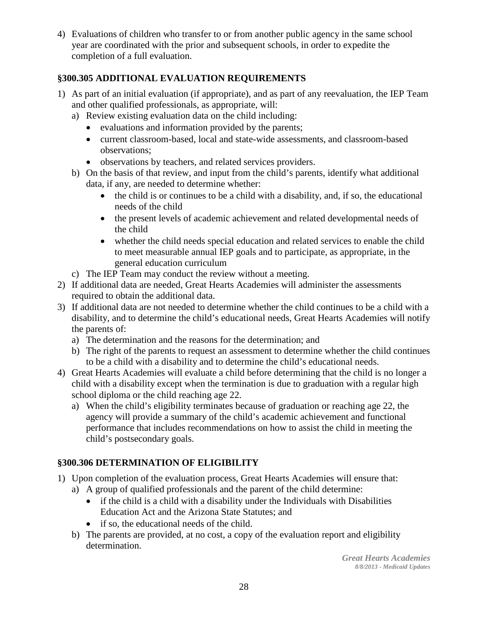4) Evaluations of children who transfer to or from another public agency in the same school year are coordinated with the prior and subsequent schools, in order to expedite the completion of a full evaluation.

#### **§300.305 ADDITIONAL EVALUATION REQUIREMENTS**

- 1) As part of an initial evaluation (if appropriate), and as part of any reevaluation, the IEP Team and other qualified professionals, as appropriate, will:
	- a) Review existing evaluation data on the child including:
		- evaluations and information provided by the parents;
		- current classroom-based, local and state-wide assessments, and classroom-based observations;
		- observations by teachers, and related services providers.
	- b) On the basis of that review, and input from the child's parents, identify what additional data, if any, are needed to determine whether:
		- the child is or continues to be a child with a disability, and, if so, the educational needs of the child
		- the present levels of academic achievement and related developmental needs of the child
		- whether the child needs special education and related services to enable the child to meet measurable annual IEP goals and to participate, as appropriate, in the general education curriculum
	- c) The IEP Team may conduct the review without a meeting.
- 2) If additional data are needed, Great Hearts Academies will administer the assessments required to obtain the additional data.
- 3) If additional data are not needed to determine whether the child continues to be a child with a disability, and to determine the child's educational needs, Great Hearts Academies will notify the parents of:
	- a) The determination and the reasons for the determination; and
	- b) The right of the parents to request an assessment to determine whether the child continues to be a child with a disability and to determine the child's educational needs.
- 4) Great Hearts Academies will evaluate a child before determining that the child is no longer a child with a disability except when the termination is due to graduation with a regular high school diploma or the child reaching age 22.
	- a) When the child's eligibility terminates because of graduation or reaching age 22, the agency will provide a summary of the child's academic achievement and functional performance that includes recommendations on how to assist the child in meeting the child's postsecondary goals.

#### **§300.306 DETERMINATION OF ELIGIBILITY**

- 1) Upon completion of the evaluation process, Great Hearts Academies will ensure that:
	- a) A group of qualified professionals and the parent of the child determine:
		- if the child is a child with a disability under the Individuals with Disabilities Education Act and the Arizona State Statutes; and
		- if so, the educational needs of the child.
	- b) The parents are provided, at no cost, a copy of the evaluation report and eligibility determination.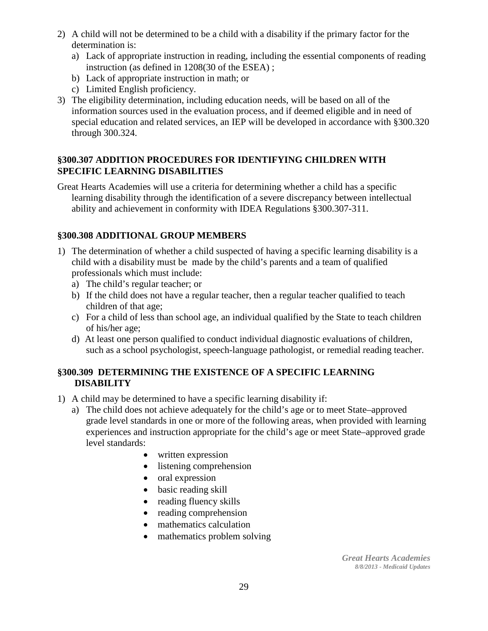- 2) A child will not be determined to be a child with a disability if the primary factor for the determination is:
	- a) Lack of appropriate instruction in reading, including the essential components of reading instruction (as defined in 1208(30 of the ESEA) ;
	- b) Lack of appropriate instruction in math; or
	- c) Limited English proficiency.
- 3) The eligibility determination, including education needs, will be based on all of the information sources used in the evaluation process, and if deemed eligible and in need of special education and related services, an IEP will be developed in accordance with §300.320 through 300.324.

#### **§300.307 ADDITION PROCEDURES FOR IDENTIFYING CHILDREN WITH SPECIFIC LEARNING DISABILITIES**

Great Hearts Academies will use a criteria for determining whether a child has a specific learning disability through the identification of a severe discrepancy between intellectual ability and achievement in conformity with IDEA Regulations §300.307-311.

#### **§300.308 ADDITIONAL GROUP MEMBERS**

- 1) The determination of whether a child suspected of having a specific learning disability is a child with a disability must be made by the child's parents and a team of qualified professionals which must include:
	- a) The child's regular teacher; or
	- b) If the child does not have a regular teacher, then a regular teacher qualified to teach children of that age;
	- c) For a child of less than school age, an individual qualified by the State to teach children of his/her age;
	- d) At least one person qualified to conduct individual diagnostic evaluations of children, such as a school psychologist, speech-language pathologist, or remedial reading teacher.

#### **§300.309 DETERMINING THE EXISTENCE OF A SPECIFIC LEARNING DISABILITY**

- 1) A child may be determined to have a specific learning disability if:
	- a) The child does not achieve adequately for the child's age or to meet State–approved grade level standards in one or more of the following areas, when provided with learning experiences and instruction appropriate for the child's age or meet State–approved grade level standards:
		- written expression
		- listening comprehension
		- oral expression
		- basic reading skill
		- reading fluency skills
		- reading comprehension
		- mathematics calculation
		- mathematics problem solving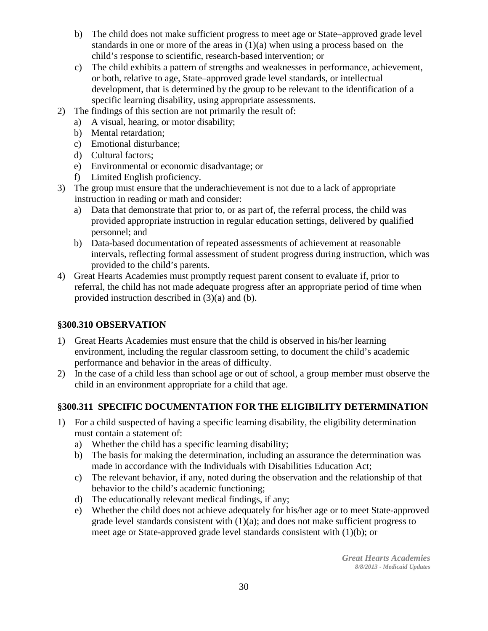- b) The child does not make sufficient progress to meet age or State–approved grade level standards in one or more of the areas in (1)(a) when using a process based on the child's response to scientific, research-based intervention; or
- c) The child exhibits a pattern of strengths and weaknesses in performance, achievement, or both, relative to age, State–approved grade level standards, or intellectual development, that is determined by the group to be relevant to the identification of a specific learning disability, using appropriate assessments.
- 2) The findings of this section are not primarily the result of:
	- a) A visual, hearing, or motor disability;
	- b) Mental retardation;
	- c) Emotional disturbance;
	- d) Cultural factors;
	- e) Environmental or economic disadvantage; or
	- f) Limited English proficiency.
- 3) The group must ensure that the underachievement is not due to a lack of appropriate instruction in reading or math and consider:
	- a) Data that demonstrate that prior to, or as part of, the referral process, the child was provided appropriate instruction in regular education settings, delivered by qualified personnel; and
	- b) Data-based documentation of repeated assessments of achievement at reasonable intervals, reflecting formal assessment of student progress during instruction, which was provided to the child's parents.
- 4) Great Hearts Academies must promptly request parent consent to evaluate if, prior to referral, the child has not made adequate progress after an appropriate period of time when provided instruction described in (3)(a) and (b).

#### **§300.310 OBSERVATION**

- 1) Great Hearts Academies must ensure that the child is observed in his/her learning environment, including the regular classroom setting, to document the child's academic performance and behavior in the areas of difficulty.
- 2) In the case of a child less than school age or out of school, a group member must observe the child in an environment appropriate for a child that age.

#### **§300.311 SPECIFIC DOCUMENTATION FOR THE ELIGIBILITY DETERMINATION**

- 1) For a child suspected of having a specific learning disability, the eligibility determination must contain a statement of:
	- a) Whether the child has a specific learning disability;
	- b) The basis for making the determination, including an assurance the determination was made in accordance with the Individuals with Disabilities Education Act;
	- c) The relevant behavior, if any, noted during the observation and the relationship of that behavior to the child's academic functioning;
	- d) The educationally relevant medical findings, if any;
	- e) Whether the child does not achieve adequately for his/her age or to meet State-approved grade level standards consistent with  $(1)(a)$ ; and does not make sufficient progress to meet age or State-approved grade level standards consistent with (1)(b); or